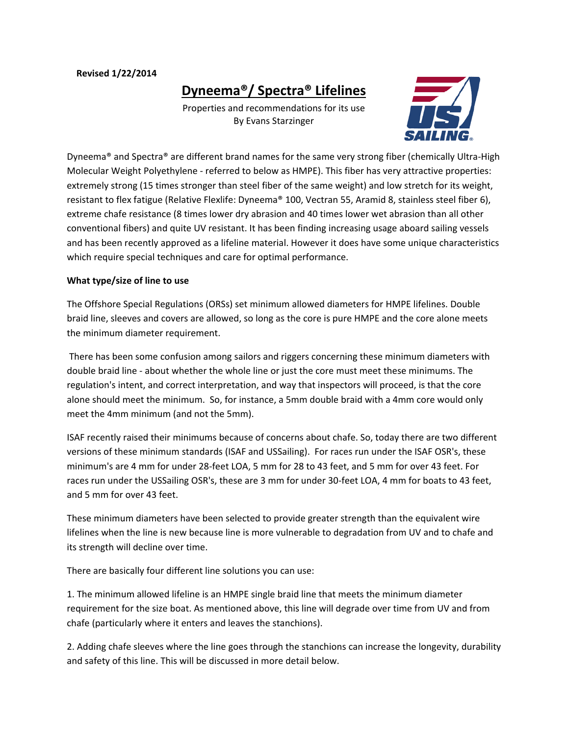#### **Revised 1/22/2014**

**Dyneema®/ Spectra® Lifelines**

Properties and recommendations for its use By Evans Starzinger



Dyneema® and Spectra® are different brand names for the same very strong fiber (chemically Ultra-High Molecular Weight Polyethylene - referred to below as HMPE). This fiber has very attractive properties: extremely strong (15 times stronger than steel fiber of the same weight) and low stretch for its weight, resistant to flex fatigue (Relative Flexlife: Dyneema® 100, Vectran 55, Aramid 8, stainless steel fiber 6), extreme chafe resistance (8 times lower dry abrasion and 40 times lower wet abrasion than all other conventional fibers) and quite UV resistant. It has been finding increasing usage aboard sailing vessels and has been recently approved as a lifeline material. However it does have some unique characteristics which require special techniques and care for optimal performance.

### **What type/size of line to use**

The Offshore Special Regulations (ORSs) set minimum allowed diameters for HMPE lifelines. Double braid line, sleeves and covers are allowed, so long as the core is pure HMPE and the core alone meets the minimum diameter requirement.

There has been some confusion among sailors and riggers concerning these minimum diameters with double braid line - about whether the whole line or just the core must meet these minimums. The regulation's intent, and correct interpretation, and way that inspectors will proceed, is that the core alone should meet the minimum. So, for instance, a 5mm double braid with a 4mm core would only meet the 4mm minimum (and not the 5mm).

ISAF recently raised their minimums because of concerns about chafe. So, today there are two different versions of these minimum standards (ISAF and USSailing). For races run under the ISAF OSR's, these minimum's are 4 mm for under 28-feet LOA, 5 mm for 28 to 43 feet, and 5 mm for over 43 feet. For races run under the USSailing OSR's, these are 3 mm for under 30-feet LOA, 4 mm for boats to 43 feet, and 5 mm for over 43 feet.

These minimum diameters have been selected to provide greater strength than the equivalent wire lifelines when the line is new because line is more vulnerable to degradation from UV and to chafe and its strength will decline over time.

There are basically four different line solutions you can use:

1. The minimum allowed lifeline is an HMPE single braid line that meets the minimum diameter requirement for the size boat. As mentioned above, this line will degrade over time from UV and from chafe (particularly where it enters and leaves the stanchions).

2. Adding chafe sleeves where the line goes through the stanchions can increase the longevity, durability and safety of this line. This will be discussed in more detail below.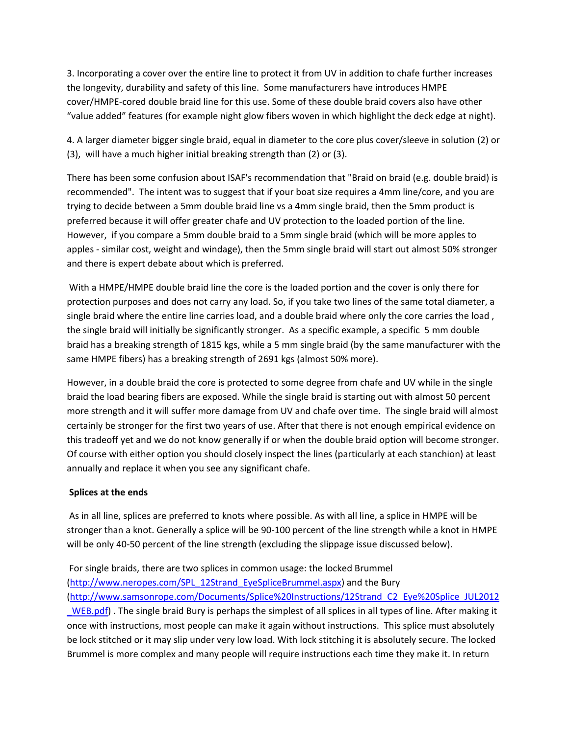3. Incorporating a cover over the entire line to protect it from UV in addition to chafe further increases the longevity, durability and safety of this line. Some manufacturers have introduces HMPE cover/HMPE-cored double braid line for this use. Some of these double braid covers also have other "value added" features (for example night glow fibers woven in which highlight the deck edge at night).

4. A larger diameter bigger single braid, equal in diameter to the core plus cover/sleeve in solution (2) or (3), will have a much higher initial breaking strength than (2) or (3).

There has been some confusion about ISAF's recommendation that "Braid on braid (e.g. double braid) is recommended". The intent was to suggest that if your boat size requires a 4mm line/core, and you are trying to decide between a 5mm double braid line vs a 4mm single braid, then the 5mm product is preferred because it will offer greater chafe and UV protection to the loaded portion of the line. However, if you compare a 5mm double braid to a 5mm single braid (which will be more apples to apples - similar cost, weight and windage), then the 5mm single braid will start out almost 50% stronger and there is expert debate about which is preferred.

With a HMPE/HMPE double braid line the core is the loaded portion and the cover is only there for protection purposes and does not carry any load. So, if you take two lines of the same total diameter, a single braid where the entire line carries load, and a double braid where only the core carries the load, the single braid will initially be significantly stronger. As a specific example, a specific 5 mm double braid has a breaking strength of 1815 kgs, while a 5 mm single braid (by the same manufacturer with the same HMPE fibers) has a breaking strength of 2691 kgs (almost 50% more).

However, in a double braid the core is protected to some degree from chafe and UV while in the single braid the load bearing fibers are exposed. While the single braid is starting out with almost 50 percent more strength and it will suffer more damage from UV and chafe over time. The single braid will almost certainly be stronger for the first two years of use. After that there is not enough empirical evidence on this tradeoff yet and we do not know generally if or when the double braid option will become stronger. Of course with either option you should closely inspect the lines (particularly at each stanchion) at least annually and replace it when you see any significant chafe.

### **Splices at the ends**

As in all line, splices are preferred to knots where possible. As with all line, a splice in HMPE will be stronger than a knot. Generally a splice will be 90-100 percent of the line strength while a knot in HMPE will be only 40-50 percent of the line strength (excluding the slippage issue discussed below).

For single braids, there are two splices in common usage: the locked Brummel [\(http://www.neropes.com/SPL\\_12Strand\\_EyeSpliceBrummel.aspx\)](http://www.neropes.com/SPL_12Strand_EyeSpliceBrummel.aspx) and the Bury [\(http://www.samsonrope.com/Documents/Splice%20Instructions/12Strand\\_C2\\_Eye%20Splice\\_JUL2012](http://www.samsonrope.com/Documents/Splice%20Instructions/12Strand_C2_Eye%20Splice_JUL2012_WEB.pdf) [\\_WEB.pdf\)](http://www.samsonrope.com/Documents/Splice%20Instructions/12Strand_C2_Eye%20Splice_JUL2012_WEB.pdf) . The single braid Bury is perhaps the simplest of all splices in all types of line. After making it once with instructions, most people can make it again without instructions. This splice must absolutely be lock stitched or it may slip under very low load. With lock stitching it is absolutely secure. The locked Brummel is more complex and many people will require instructions each time they make it. In return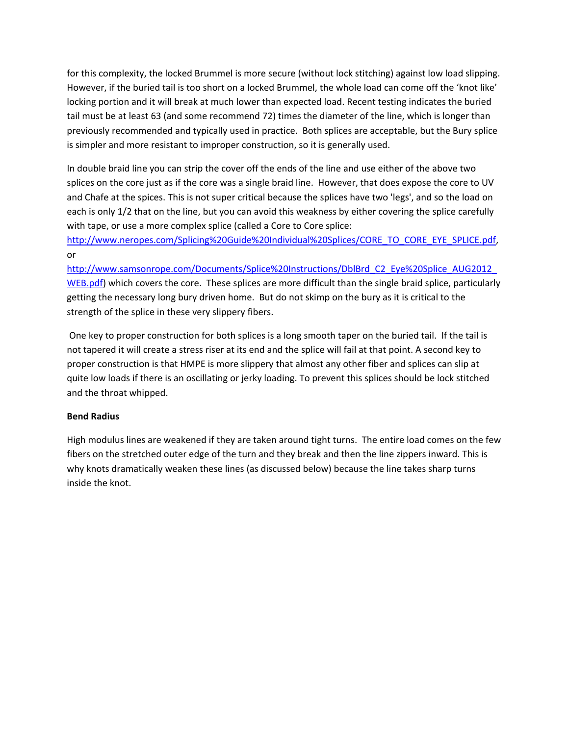for this complexity, the locked Brummel is more secure (without lock stitching) against low load slipping. However, if the buried tail is too short on a locked Brummel, the whole load can come off the 'knot like' locking portion and it will break at much lower than expected load. Recent testing indicates the buried tail must be at least 63 (and some recommend 72) times the diameter of the line, which is longer than previously recommended and typically used in practice. Both splices are acceptable, but the Bury splice is simpler and more resistant to improper construction, so it is generally used.

In double braid line you can strip the cover off the ends of the line and use either of the above two splices on the core just as if the core was a single braid line. However, that does expose the core to UV and Chafe at the spices. This is not super critical because the splices have two 'legs', and so the load on each is only 1/2 that on the line, but you can avoid this weakness by either covering the splice carefully with tape, or use a more complex splice (called a Core to Core splice:

[http://www.neropes.com/Splicing%20Guide%20Individual%20Splices/CORE\\_TO\\_CORE\\_EYE\\_SPLICE.pdf,](http://www.neropes.com/Splicing%20Guide%20Individual%20Splices/CORE_TO_CORE_EYE_SPLICE.pdf) or

[http://www.samsonrope.com/Documents/Splice%20Instructions/DblBrd\\_C2\\_Eye%20Splice\\_AUG2012\\_](http://www.samsonrope.com/Documents/Splice%20Instructions/DblBrd_C2_Eye%20Splice_AUG2012_WEB.pdf) [WEB.pdf\)](http://www.samsonrope.com/Documents/Splice%20Instructions/DblBrd_C2_Eye%20Splice_AUG2012_WEB.pdf) which covers the core. These splices are more difficult than the single braid splice, particularly getting the necessary long bury driven home. But do not skimp on the bury as it is critical to the strength of the splice in these very slippery fibers.

One key to proper construction for both splices is a long smooth taper on the buried tail. If the tail is not tapered it will create a stress riser at its end and the splice will fail at that point. A second key to proper construction is that HMPE is more slippery that almost any other fiber and splices can slip at quite low loads if there is an oscillating or jerky loading. To prevent this splices should be lock stitched and the throat whipped.

# **Bend Radius**

High modulus lines are weakened if they are taken around tight turns. The entire load comes on the few fibers on the stretched outer edge of the turn and they break and then the line zippers inward. This is why knots dramatically weaken these lines (as discussed below) because the line takes sharp turns inside the knot.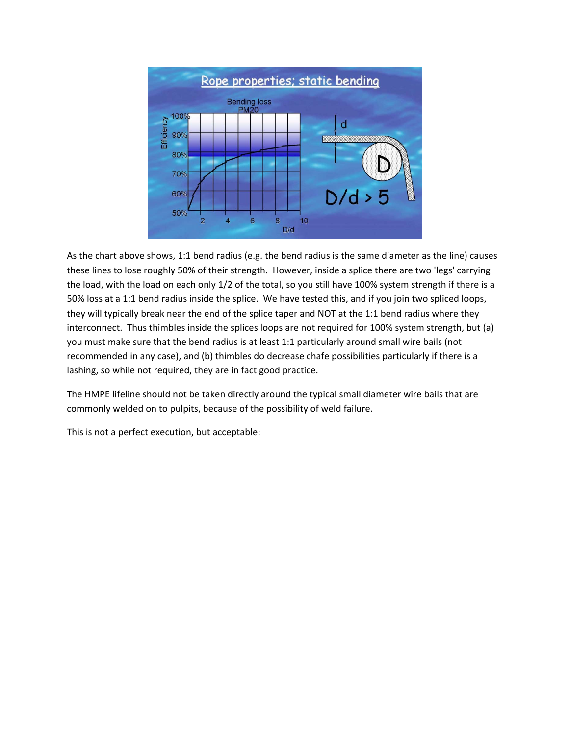

As the chart above shows, 1:1 bend radius (e.g. the bend radius is the same diameter as the line) causes these lines to lose roughly 50% of their strength. However, inside a splice there are two 'legs' carrying the load, with the load on each only 1/2 of the total, so you still have 100% system strength if there is a 50% loss at a 1:1 bend radius inside the splice. We have tested this, and if you join two spliced loops, they will typically break near the end of the splice taper and NOT at the 1:1 bend radius where they interconnect. Thus thimbles inside the splices loops are not required for 100% system strength, but (a) you must make sure that the bend radius is at least 1:1 particularly around small wire bails (not recommended in any case), and (b) thimbles do decrease chafe possibilities particularly if there is a lashing, so while not required, they are in fact good practice.

The HMPE lifeline should not be taken directly around the typical small diameter wire bails that are commonly welded on to pulpits, because of the possibility of weld failure.

This is not a perfect execution, but acceptable: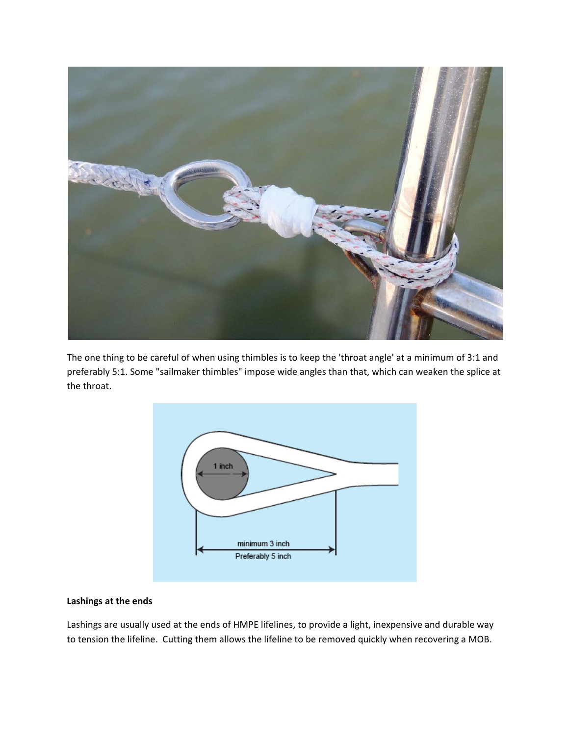

The one thing to be careful of when using thimbles is to keep the 'throat angle' at a minimum of 3:1 and preferably 5:1. Some "sailmaker thimbles" impose wide angles than that, which can weaken the splice at the throat.



### **Lashings at the ends**

Lashings are usually used at the ends of HMPE lifelines, to provide a light, inexpensive and durable way to tension the lifeline. Cutting them allows the lifeline to be removed quickly when recovering a MOB.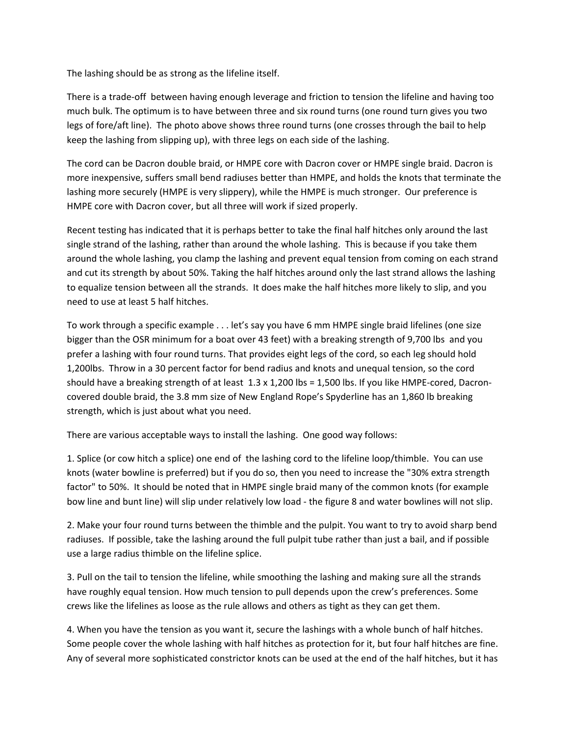The lashing should be as strong as the lifeline itself.

There is a trade-off between having enough leverage and friction to tension the lifeline and having too much bulk. The optimum is to have between three and six round turns (one round turn gives you two legs of fore/aft line). The photo above shows three round turns (one crosses through the bail to help keep the lashing from slipping up), with three legs on each side of the lashing.

The cord can be Dacron double braid, or HMPE core with Dacron cover or HMPE single braid. Dacron is more inexpensive, suffers small bend radiuses better than HMPE, and holds the knots that terminate the lashing more securely (HMPE is very slippery), while the HMPE is much stronger. Our preference is HMPE core with Dacron cover, but all three will work if sized properly.

Recent testing has indicated that it is perhaps better to take the final half hitches only around the last single strand of the lashing, rather than around the whole lashing. This is because if you take them around the whole lashing, you clamp the lashing and prevent equal tension from coming on each strand and cut its strength by about 50%. Taking the half hitches around only the last strand allows the lashing to equalize tension between all the strands. It does make the half hitches more likely to slip, and you need to use at least 5 half hitches.

To work through a specific example . . . let's say you have 6 mm HMPE single braid lifelines (one size bigger than the OSR minimum for a boat over 43 feet) with a breaking strength of 9,700 lbs and you prefer a lashing with four round turns. That provides eight legs of the cord, so each leg should hold 1,200lbs. Throw in a 30 percent factor for bend radius and knots and unequal tension, so the cord should have a breaking strength of at least  $1.3 \times 1,200$  lbs = 1,500 lbs. If you like HMPE-cored, Dacroncovered double braid, the 3.8 mm size of New England Rope's Spyderline has an 1,860 lb breaking strength, which is just about what you need.

There are various acceptable ways to install the lashing. One good way follows:

1. Splice (or cow hitch a splice) one end of the lashing cord to the lifeline loop/thimble. You can use knots (water bowline is preferred) but if you do so, then you need to increase the "30% extra strength factor" to 50%. It should be noted that in HMPE single braid many of the common knots (for example bow line and bunt line) will slip under relatively low load - the figure 8 and water bowlines will not slip.

2. Make your four round turns between the thimble and the pulpit. You want to try to avoid sharp bend radiuses. If possible, take the lashing around the full pulpit tube rather than just a bail, and if possible use a large radius thimble on the lifeline splice.

3. Pull on the tail to tension the lifeline, while smoothing the lashing and making sure all the strands have roughly equal tension. How much tension to pull depends upon the crew's preferences. Some crews like the lifelines as loose as the rule allows and others as tight as they can get them.

4. When you have the tension as you want it, secure the lashings with a whole bunch of half hitches. Some people cover the whole lashing with half hitches as protection for it, but four half hitches are fine. Any of several more sophisticated constrictor knots can be used at the end of the half hitches, but it has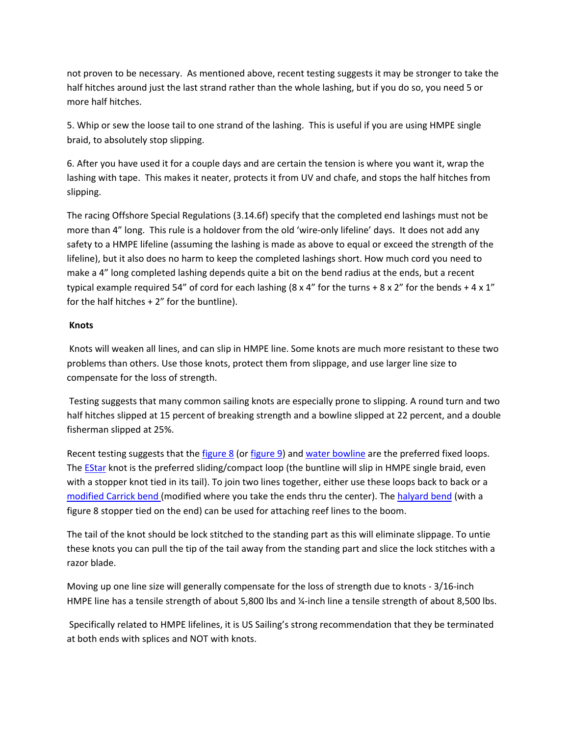not proven to be necessary. As mentioned above, recent testing suggests it may be stronger to take the half hitches around just the last strand rather than the whole lashing, but if you do so, you need 5 or more half hitches.

5. Whip or sew the loose tail to one strand of the lashing. This is useful if you are using HMPE single braid, to absolutely stop slipping.

6. After you have used it for a couple days and are certain the tension is where you want it, wrap the lashing with tape. This makes it neater, protects it from UV and chafe, and stops the half hitches from slipping.

The racing Offshore Special Regulations (3.14.6f) specify that the completed end lashings must not be more than 4" long. This rule is a holdover from the old 'wire-only lifeline' days. It does not add any safety to a HMPE lifeline (assuming the lashing is made as above to equal or exceed the strength of the lifeline), but it also does no harm to keep the completed lashings short. How much cord you need to make a 4" long completed lashing depends quite a bit on the bend radius at the ends, but a recent typical example required 54" of cord for each lashing  $(8 \times 4"$  for the turns +  $8 \times 2"$  for the bends +  $4 \times 1"$ for the half hitches + 2" for the buntline).

### **Knots**

Knots will weaken all lines, and can slip in HMPE line. Some knots are much more resistant to these two problems than others. Use those knots, protect them from slippage, and use larger line size to compensate for the loss of strength.

Testing suggests that many common sailing knots are especially prone to slipping. A round turn and two half hitches slipped at 15 percent of breaking strength and a bowline slipped at 22 percent, and a double fisherman slipped at 25%.

Recent testing suggests that th[e figure 8](http://www.animatedknots.com/fig8_/index.php?Categ=boating&LogoImage=LogoGrog.jpg&Website=www.animatedknots.com) (or [figure 9\)](http://www.animatedknots.com/fig9loop/index.php?LogoImage=LogoGrog.jpg&Website=www.animatedknots.com) and [water bowline](http://www.animatedknots.com/bowlinewater/index.php?LogoImage=LogoGrog.jpg&Website=www.animatedknots.com) are the preferred fixed loops. The **EStar** knot is the preferred sliding/compact loop (the buntline will slip in HMPE single braid, even with a stopper knot tied in its tail). To join two lines together, either use these loops back to back or a [modified Carrick bend \(](http://www.bethandevans.com/pdf/modified%20Carrick.pdf)modified where you take the ends thru the center). The [halyard bend](http://www.bethandevans.com/pdf/Halyardbend.pdf) (with a figure 8 stopper tied on the end) can be used for attaching reef lines to the boom.

The tail of the knot should be lock stitched to the standing part as this will eliminate slippage. To untie these knots you can pull the tip of the tail away from the standing part and slice the lock stitches with a razor blade.

Moving up one line size will generally compensate for the loss of strength due to knots - 3/16-inch HMPE line has a tensile strength of about 5,800 lbs and ¼-inch line a tensile strength of about 8,500 lbs.

Specifically related to HMPE lifelines, it is US Sailing's strong recommendation that they be terminated at both ends with splices and NOT with knots.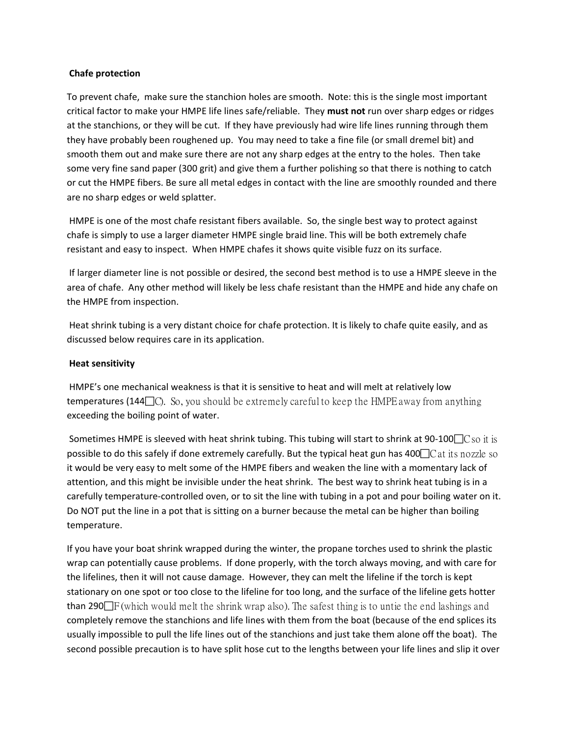### **Chafe protection**

To prevent chafe, make sure the stanchion holes are smooth. Note: this is the single most important critical factor to make your HMPE life lines safe/reliable. They **must not** run over sharp edges or ridges at the stanchions, or they will be cut. If they have previously had wire life lines running through them they have probably been roughened up. You may need to take a fine file (or small dremel bit) and smooth them out and make sure there are not any sharp edges at the entry to the holes. Then take some very fine sand paper (300 grit) and give them a further polishing so that there is nothing to catch or cut the HMPE fibers. Be sure all metal edges in contact with the line are smoothly rounded and there are no sharp edges or weld splatter.

HMPE is one of the most chafe resistant fibers available. So, the single best way to protect against chafe is simply to use a larger diameter HMPE single braid line. This will be both extremely chafe resistant and easy to inspect. When HMPE chafes it shows quite visible fuzz on its surface.

If larger diameter line is not possible or desired, the second best method is to use a HMPE sleeve in the area of chafe. Any other method will likely be less chafe resistant than the HMPE and hide any chafe on the HMPE from inspection.

Heat shrink tubing is a very distant choice for chafe protection. It is likely to chafe quite easily, and as discussed below requires care in its application.

### **Heat sensitivity**

HMPE's one mechanical weakness is that it is sensitive to heat and will melt at relatively low **temperatures (144** $\Box$ C). So, you should be extremely careful to keep the HMPE away from anything exceeding the boiling point of water.

Sometimes HMPE is sleeved with heat shrink tubing. This tubing will start to shrink at 90-100 $\Box$ C so it is possible to do this safely if done extremely carefully. But the typical heat gun has  $400\degree$ C at its nozzle so it would be very easy to melt some of the HMPE fibers and weaken the line with a momentary lack of attention, and this might be invisible under the heat shrink. The best way to shrink heat tubing is in a carefully temperature-controlled oven, or to sit the line with tubing in a pot and pour boiling water on it. Do NOT put the line in a pot that is sitting on a burner because the metal can be higher than boiling temperature.

If you have your boat shrink wrapped during the winter, the propane torches used to shrink the plastic wrap can potentially cause problems. If done properly, with the torch always moving, and with care for the lifelines, then it will not cause damage. However, they can melt the lifeline if the torch is kept stationary on one spot or too close to the lifeline for too long, and the surface of the lifeline gets hotter than 290 $\Box$  F (which would melt the shrink wrap also). The safest thing is to untie the end lashings and completely remove the stanchions and life lines with them from the boat (because of the end splices its usually impossible to pull the life lines out of the stanchions and just take them alone off the boat). The second possible precaution is to have split hose cut to the lengths between your life lines and slip it over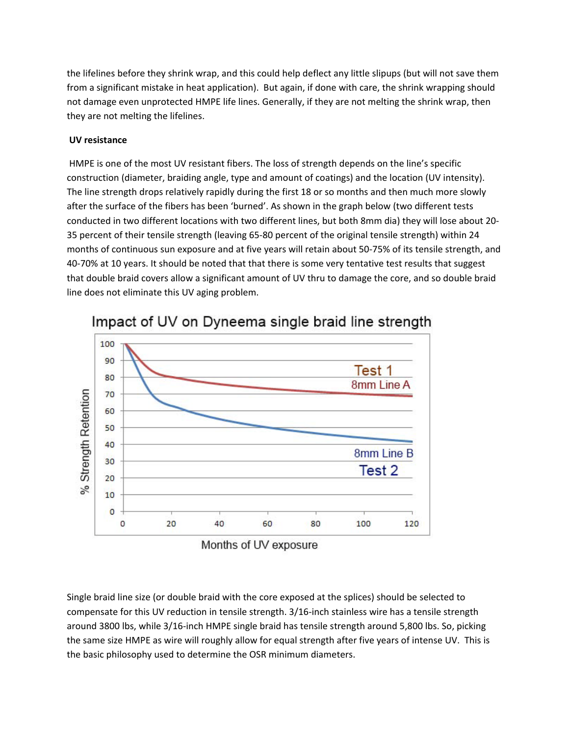the lifelines before they shrink wrap, and this could help deflect any little slipups (but will not save them from a significant mistake in heat application). But again, if done with care, the shrink wrapping should not damage even unprotected HMPE life lines. Generally, if they are not melting the shrink wrap, then they are not melting the lifelines.

## **UV resistance**

HMPE is one of the most UV resistant fibers. The loss of strength depends on the line's specific construction (diameter, braiding angle, type and amount of coatings) and the location (UV intensity). The line strength drops relatively rapidly during the first 18 or so months and then much more slowly after the surface of the fibers has been 'burned'. As shown in the graph below (two different tests conducted in two different locations with two different lines, but both 8mm dia) they will lose about 20- 35 percent of their tensile strength (leaving 65-80 percent of the original tensile strength) within 24 months of continuous sun exposure and at five years will retain about 50-75% of its tensile strength, and 40-70% at 10 years. It should be noted that that there is some very tentative test results that suggest that double braid covers allow a significant amount of UV thru to damage the core, and so double braid line does not eliminate this UV aging problem.



Impact of UV on Dyneema single braid line strength

Single braid line size (or double braid with the core exposed at the splices) should be selected to compensate for this UV reduction in tensile strength. 3/16-inch stainless wire has a tensile strength around 3800 lbs, while 3/16-inch HMPE single braid has tensile strength around 5,800 lbs. So, picking the same size HMPE as wire will roughly allow for equal strength after five years of intense UV. This is the basic philosophy used to determine the OSR minimum diameters.